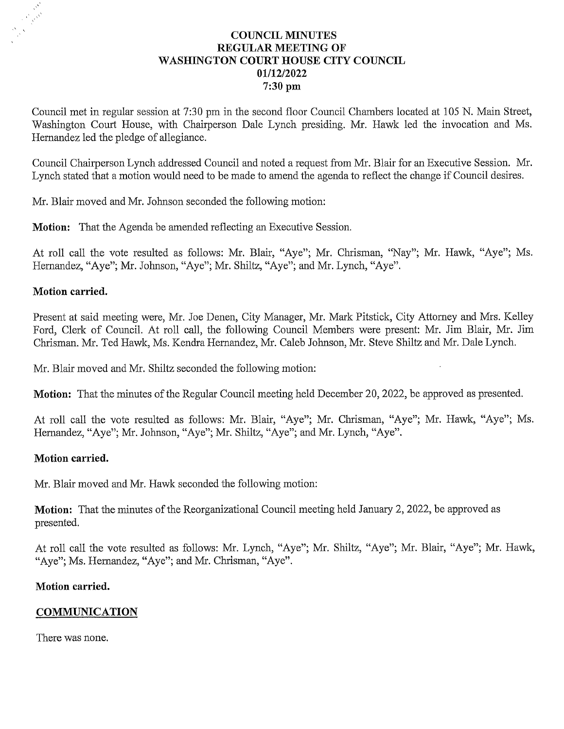# **COUNCIL MINUTES** REGULAR MEETING OF WASHINGTON COURT HOUSE CITY COUNCIL 01/12/2022 7:30 pm

Council met in regular session at 7:30 pm in the second floor Council Chambers located at 105 N. Main Street, Council met in regular session at 7:30 pm in the second floor Council Chambers located at 105 N. Main Street,<br>Washington Court House, with Chairperson Dale Lynch presiding. Mr. Hawk led the invocation and Ms. Washington Court House, with Chairperson Dale Lynch presiding. Mr. Hawk led the invocation and Ms. Hernandez led the pledge of allegiance.

Council Chairperson Lynch addressed Council and noted a request from Mr. Blair for an Executive Session. Mr. Lynch stated that a motion would need to be made to amend the agenda to reflect the change if Council desires.

Mr. Blair moved and Mr. Johnson seconded the following motion:

**Motion:** That the Agenda be amended reflecting an Executive Session.

At roll call the vote resulted as follows: Mr. Blair, "Aye"; Mr. Chrisman, "Nay"; Mr. Hawk, "Aye"; Ms. Hernandez, "Aye"; Mr. Johnson, "Aye"; Mr. Shiltz, "Aye"; and Mr. Lynch, "Aye".

# Motion carried.

Present at said meeting were, Mr. Joe Denen, City Manager, Mr. Mark Pitstick, City Attorney and Mrs. Kelley Ford, Clerk of Council. At roll call, the following Council Members were present: Mr. Jim Blair, Mr. Jim Chrisman. Mr. Ted Hawk, Ms. Kendra Hernandez, Mr. Caleb Johnson, Mr. Steve Shiltz and Mr. Dale Lynch.

Mr. Blair moved and Mr. Shiltz seconded the following motion:

Motion: That the minutes of the Regular Council meeting held December 20, 2022, be approved as presented.

At roll call the vote resulted as follows: Mr. Blair, "Aye"; Mr. Chrisman, "Aye"; Mr. Hawk, "Aye"; Ms. Hernandez, "Aye"; Mr. Johnson, "Aye"; Mr. Shiltz, "Aye"; and Mr. Lynch, "Aye".

# Motion carried.

Mr. Blair moved and Mr. Hawk seconded the following motion:

Motion: That the minutes of the Reorganizational Council meeting held January 2, 2022, be approved as presented.

At roll call the vote resulted as follows: Mr. Lynch, "Aye"; Mr. Shiltz, "Aye"; Mr. Blair, "Aye"; Mr. Hawk, "Aye"; Ms. Hernandez, "Aye"; and Mr. Chrisman, "Aye".

# Motion carried.

# **COMMUNICATION**

There was none.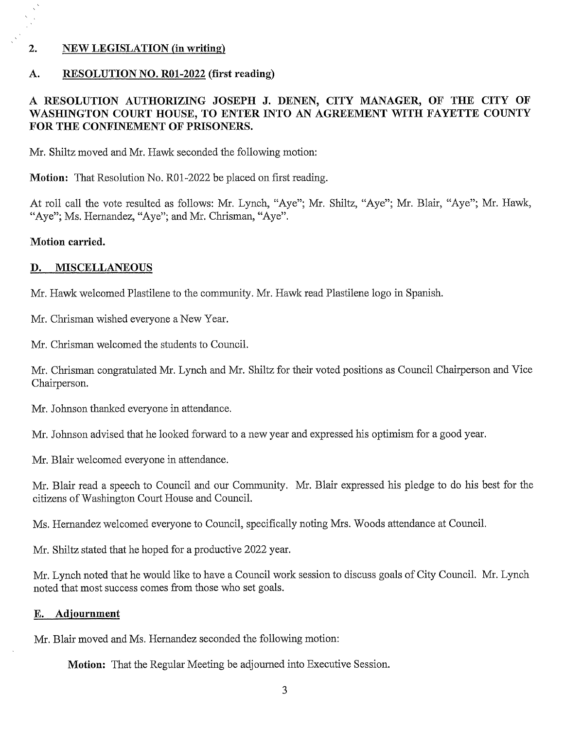## 2. NEW LEGISLATION (in writing)

### A. RESOLUTION NO. R01-2022 (first reading)

# RESOLUTION AUTHORIZING JOSEPH J. DENEN, CITY MANAGER, OF THE CITY OF A RESOLUTION AUTHORIZING JOSEPH J. DENEN, CITY MANAGER, OF THE CITY OF WASHINGTON COURT HOUSE, TO ENTER INTO AN AGREEMENT WITH FAYETTE COUNTY WASHINGTON COURT HOUSE, TO ENTE<br>FOR THE CONFINEMENT OF PRISONERS.

Mr. Shiltz moved and Mr. Hawk seconded the following motion:

Motion: That Resolution No. R01-2022 be placed on first reading.

At roll call the vote resulted as follows: Mr. Lynch, "Aye"; Mr. Shiltz, "Aye"; Mr. Blair, "Aye"; Mr. Hawk, "Aye"; Ms. Hernandez, "Aye"; and Mr. Chrisman, "Aye".

#### Motion carried.

### I). MISCELLANEOUS

Mr. Hawk welcomed Plastilene to the community. Mr. Hawk read Plastilene logo in Spanish.

Mr. Chrisman wished everyone a New Year.

Mr. Chrisman welcomed the students to Council.

Mr. Chrisman congratulated Mr. Lynch and Mr. Shiltz for their voted positions as Council Chairperson and Vice Chairperson.

Mr. Johnson thanked everyone in attendance.

Mr. Johnson advised that he looked forward to a new year and expressed his optimism for a good year.

Mr. Blair welcomed everyone in attendance.

Mr. Blair read a speech to Council and our Community. Mr. Blair expressed his pledge to do his best for the citizens of Washington Court House and Council.

Ms. Hernandez welcomed everyone to Council, specifically noting Mrs. Woods attendance at Council.

Mr. Shiltz stated that he hoped for a productive 2022 year.

Mr. Lynch noted that he would like to have a Council work session to discuss goals of City Council. Mr. Lynch noted that most success comes from those who set goals.

### E. Adjournment

Mr. Blair moved and Ms. Hernandez seconded the following motion:

Motion: That the Regular Meeting be adjourned into Executive Session.